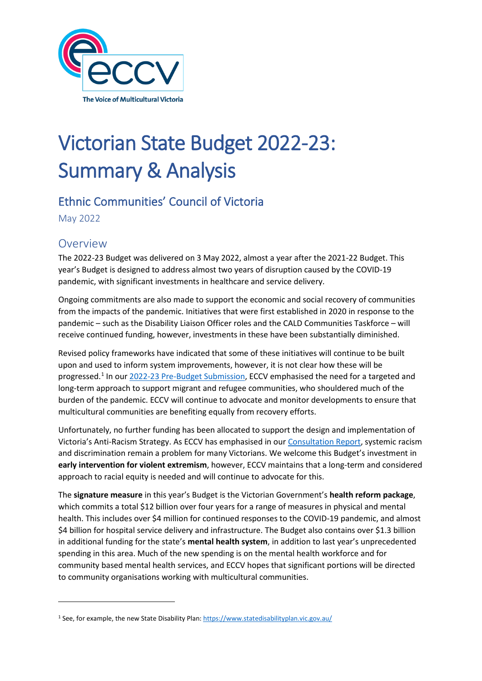

# Victorian State Budget 2022-23: Summary & Analysis

# Ethnic Communities' Council of Victoria

May 2022

# Overview

The 2022-23 Budget was delivered on 3 May 2022, almost a year after the 2021-22 Budget. This year's Budget is designed to address almost two years of disruption caused by the COVID-19 pandemic, with significant investments in healthcare and service delivery.

Ongoing commitments are also made to support the economic and social recovery of communities from the impacts of the pandemic. Initiatives that were first established in 2020 in response to the pandemic – such as the Disability Liaison Officer roles and the CALD Communities Taskforce – will receive continued funding, however, investments in these have been substantially diminished.

Revised policy frameworks have indicated that some of these initiatives will continue to be built upon and used to inform system improvements, however, it is not clear how these will be progressed.[1](#page-0-0) In our [2022-23 Pre-Budget Submission,](https://eccv.org.au/wp-content/uploads/2021/12/Pre-Budget-Submission-2022-23-2.pdf) ECCV emphasised the need for a targeted and long-term approach to support migrant and refugee communities, who shouldered much of the burden of the pandemic. ECCV will continue to advocate and monitor developments to ensure that multicultural communities are benefiting equally from recovery efforts.

Unfortunately, no further funding has been allocated to support the design and implementation of Victoria's Anti-Racism Strategy. As ECCV has emphasised in ou[r Consultation Report,](https://eccv.org.au/wp-content/uploads/2022/01/We-Are-All-In-This-Together-report.pdf) systemic racism and discrimination remain a problem for many Victorians. We welcome this Budget's investment in **early intervention for violent extremism**, however, ECCV maintains that a long-term and considered approach to racial equity is needed and will continue to advocate for this.

The **signature measure** in this year's Budget is the Victorian Government's **health reform package**, which commits a total \$12 billion over four years for a range of measures in physical and mental health. This includes over \$4 million for continued responses to the COVID-19 pandemic, and almost \$4 billion for hospital service delivery and infrastructure. The Budget also contains over \$1.3 billion in additional funding for the state's **mental health system**, in addition to last year's unprecedented spending in this area. Much of the new spending is on the mental health workforce and for community based mental health services, and ECCV hopes that significant portions will be directed to community organisations working with multicultural communities.

<span id="page-0-0"></span><sup>&</sup>lt;sup>1</sup> See, for example, the new State Disability Plan[: https://www.statedisabilityplan.vic.gov.au/](https://www.statedisabilityplan.vic.gov.au/)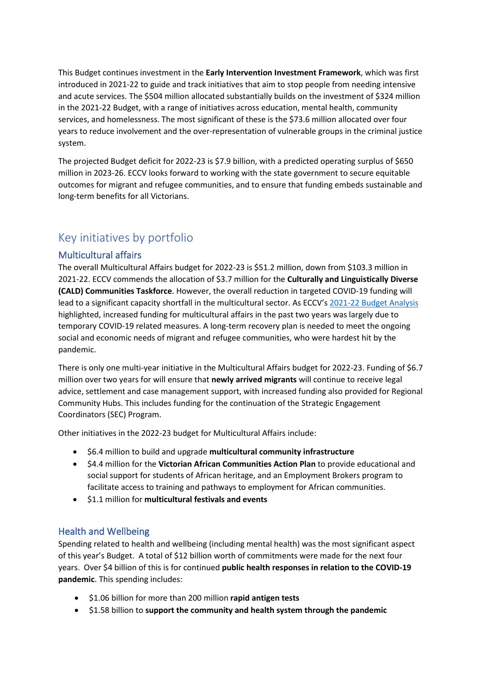This Budget continues investment in the **Early Intervention Investment Framework**, which was first introduced in 2021-22 to guide and track initiatives that aim to stop people from needing intensive and acute services. The \$504 million allocated substantially builds on the investment of \$324 million in the 2021-22 Budget, with a range of initiatives across education, mental health, community services, and homelessness. The most significant of these is the \$73.6 million allocated over four years to reduce involvement and the over-representation of vulnerable groups in the criminal justice system.

The projected Budget deficit for 2022-23 is \$7.9 billion, with a predicted operating surplus of \$650 million in 2023-26. ECCV looks forward to working with the state government to secure equitable outcomes for migrant and refugee communities, and to ensure that funding embeds sustainable and long-term benefits for all Victorians.

# Key initiatives by portfolio

## Multicultural affairs

The overall Multicultural Affairs budget for 2022-23 is \$51.2 million, down from \$103.3 million in 2021-22. ECCV commends the allocation of \$3.7 million for the **Culturally and Linguistically Diverse (CALD) Communities Taskforce**. However, the overall reduction in targeted COVID-19 funding will lead to a significant capacity shortfall in the multicultural sector. As ECCV's [2021-22 Budget Analysis](https://eccv.org.au/wp-content/uploads/2021/06/ECCV-State-Budget-2021-22-Analysis.pdf) highlighted, increased funding for multicultural affairs in the past two years was largely due to temporary COVID-19 related measures. A long-term recovery plan is needed to meet the ongoing social and economic needs of migrant and refugee communities, who were hardest hit by the pandemic.

There is only one multi-year initiative in the Multicultural Affairs budget for 2022-23. Funding of \$6.7 million over two years for will ensure that **newly arrived migrants** will continue to receive legal advice, settlement and case management support, with increased funding also provided for Regional Community Hubs. This includes funding for the continuation of the Strategic Engagement Coordinators (SEC) Program.

Other initiatives in the 2022-23 budget for Multicultural Affairs include:

- \$6.4 million to build and upgrade **multicultural community infrastructure**
- \$4.4 million for the **Victorian African Communities Action Plan** to provide educational and social support for students of African heritage, and an Employment Brokers program to facilitate access to training and pathways to employment for African communities.
- \$1.1 million for **multicultural festivals and events**

## Health and Wellbeing

Spending related to health and wellbeing (including mental health) was the most significant aspect of this year's Budget. A total of \$12 billion worth of commitments were made for the next four years. Over \$4 billion of this is for continued **public health responses in relation to the COVID-19 pandemic**. This spending includes:

- \$1.06 billion for more than 200 million **rapid antigen tests**
- \$1.58 billion to **support the community and health system through the pandemic**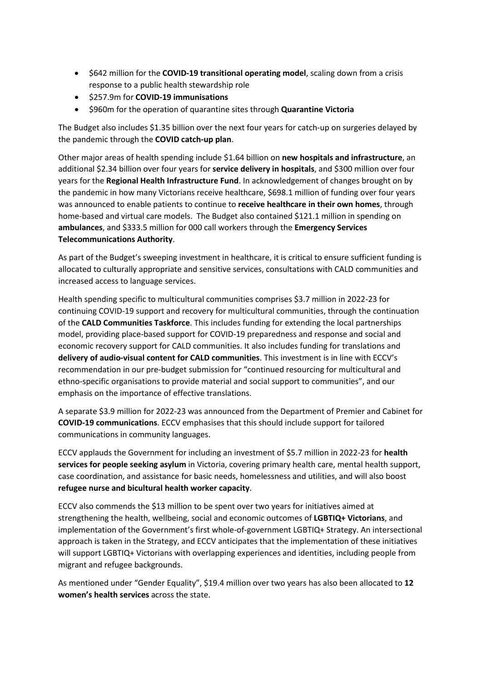- \$642 million for the **COVID-19 transitional operating model**, scaling down from a crisis response to a public health stewardship role
- \$257.9m for **COVID-19 immunisations**
- \$960m for the operation of quarantine sites through **Quarantine Victoria**

The Budget also includes \$1.35 billion over the next four years for catch-up on surgeries delayed by the pandemic through the **COVID catch-up plan**.

Other major areas of health spending include \$1.64 billion on **new hospitals and infrastructure**, an additional \$2.34 billion over four years for **service delivery in hospitals**, and \$300 million over four years for the **Regional Health Infrastructure Fund**. In acknowledgement of changes brought on by the pandemic in how many Victorians receive healthcare, \$698.1 million of funding over four years was announced to enable patients to continue to **receive healthcare in their own homes**, through home-based and virtual care models. The Budget also contained \$121.1 million in spending on **ambulances**, and \$333.5 million for 000 call workers through the **Emergency Services Telecommunications Authority**.

As part of the Budget's sweeping investment in healthcare, it is critical to ensure sufficient funding is allocated to culturally appropriate and sensitive services, consultations with CALD communities and increased access to language services.

Health spending specific to multicultural communities comprises \$3.7 million in 2022-23 for continuing COVID-19 support and recovery for multicultural communities, through the continuation of the **CALD Communities Taskforce**. This includes funding for extending the local partnerships model, providing place-based support for COVID-19 preparedness and response and social and economic recovery support for CALD communities. It also includes funding for translations and **delivery of audio-visual content for CALD communities**. This investment is in line with ECCV's recommendation in our pre-budget submission for "continued resourcing for multicultural and ethno-specific organisations to provide material and social support to communities", and our emphasis on the importance of effective translations.

A separate \$3.9 million for 2022-23 was announced from the Department of Premier and Cabinet for **COVID-19 communications**. ECCV emphasises that this should include support for tailored communications in community languages.

ECCV applauds the Government for including an investment of \$5.7 million in 2022-23 for **health services for people seeking asylum** in Victoria, covering primary health care, mental health support, case coordination, and assistance for basic needs, homelessness and utilities, and will also boost **refugee nurse and bicultural health worker capacity**.

ECCV also commends the \$13 million to be spent over two years for initiatives aimed at strengthening the health, wellbeing, social and economic outcomes of **LGBTIQ+ Victorians**, and implementation of the Government's first whole-of-government LGBTIQ+ Strategy. An intersectional approach is taken in the Strategy, and ECCV anticipates that the implementation of these initiatives will support LGBTIQ+ Victorians with overlapping experiences and identities, including people from migrant and refugee backgrounds.

As mentioned under "Gender Equality", \$19.4 million over two years has also been allocated to **12 women's health services** across the state.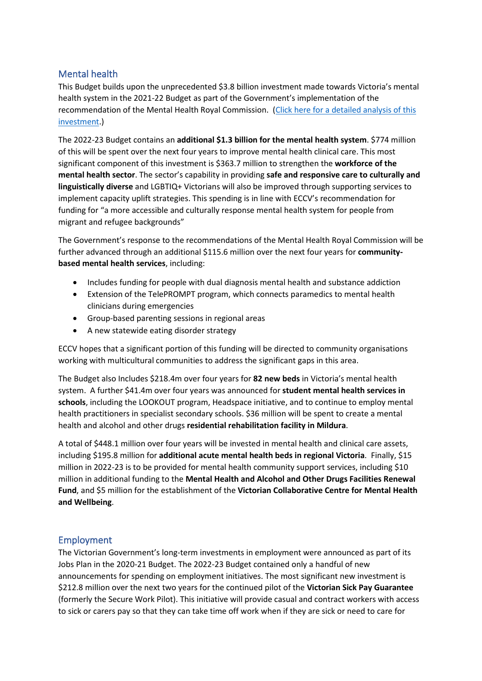## Mental health

This Budget builds upon the unprecedented \$3.8 billion investment made towards Victoria's mental health system in the 2021-22 Budget as part of the Government's implementation of the recommendation of the Mental Health Royal Commission. (Click here for a detailed analysis of this [investment.](https://eccv.org.au/analysis-of-the-victorian-state-budget-2021-22-mental-health/))

The 2022-23 Budget contains an **additional \$1.3 billion for the mental health system**. \$774 million of this will be spent over the next four years to improve mental health clinical care. This most significant component of this investment is \$363.7 million to strengthen the **workforce of the mental health sector**. The sector's capability in providing **safe and responsive care to culturally and linguistically diverse** and LGBTIQ+ Victorians will also be improved through supporting services to implement capacity uplift strategies. This spending is in line with ECCV's recommendation for funding for "a more accessible and culturally response mental health system for people from migrant and refugee backgrounds"

The Government's response to the recommendations of the Mental Health Royal Commission will be further advanced through an additional \$115.6 million over the next four years for **communitybased mental health services**, including:

- Includes funding for people with dual diagnosis mental health and substance addiction
- Extension of the TelePROMPT program, which connects paramedics to mental health clinicians during emergencies
- Group-based parenting sessions in regional areas
- A new statewide eating disorder strategy

ECCV hopes that a significant portion of this funding will be directed to community organisations working with multicultural communities to address the significant gaps in this area.

The Budget also Includes \$218.4m over four years for **82 new beds** in Victoria's mental health system. A further \$41.4m over four years was announced for **student mental health services in schools**, including the LOOKOUT program, Headspace initiative, and to continue to employ mental health practitioners in specialist secondary schools. \$36 million will be spent to create a mental health and alcohol and other drugs **residential rehabilitation facility in Mildura**.

A total of \$448.1 million over four years will be invested in mental health and clinical care assets, including \$195.8 million for **additional acute mental health beds in regional Victoria**. Finally, \$15 million in 2022-23 is to be provided for mental health community support services, including \$10 million in additional funding to the **Mental Health and Alcohol and Other Drugs Facilities Renewal Fund**, and \$5 million for the establishment of the **Victorian Collaborative Centre for Mental Health and Wellbeing**.

## Employment

The Victorian Government's long-term investments in employment were announced as part of its Jobs Plan in the 2020-21 Budget. The 2022-23 Budget contained only a handful of new announcements for spending on employment initiatives. The most significant new investment is \$212.8 million over the next two years for the continued pilot of the **Victorian Sick Pay Guarantee** (formerly the Secure Work Pilot). This initiative will provide casual and contract workers with access to sick or carers pay so that they can take time off work when if they are sick or need to care for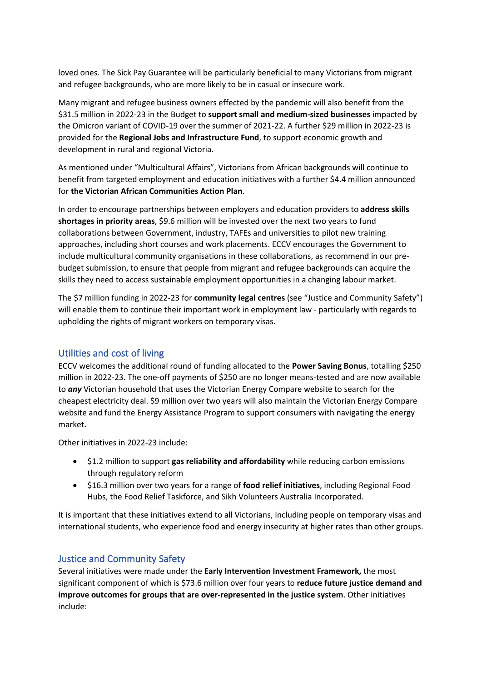loved ones. The Sick Pay Guarantee will be particularly beneficial to many Victorians from migrant and refugee backgrounds, who are more likely to be in casual or insecure work.

Many migrant and refugee business owners effected by the pandemic will also benefit from the \$31.5 million in 2022-23 in the Budget to **support small and medium-sized businesses** impacted by the Omicron variant of COVID-19 over the summer of 2021-22. A further \$29 million in 2022-23 is provided for the **Regional Jobs and Infrastructure Fund**, to support economic growth and development in rural and regional Victoria.

As mentioned under "Multicultural Affairs", Victorians from African backgrounds will continue to benefit from targeted employment and education initiatives with a further \$4.4 million announced for **the Victorian African Communities Action Plan**.

In order to encourage partnerships between employers and education providers to **address skills shortages in priority areas**, \$9.6 million will be invested over the next two years to fund collaborations between Government, industry, TAFEs and universities to pilot new training approaches, including short courses and work placements. ECCV encourages the Government to include multicultural community organisations in these collaborations, as recommend in our prebudget submission, to ensure that people from migrant and refugee backgrounds can acquire the skills they need to access sustainable employment opportunities in a changing labour market.

The \$7 million funding in 2022-23 for **community legal centres** (see "Justice and Community Safety") will enable them to continue their important work in employment law - particularly with regards to upholding the rights of migrant workers on temporary visas.

## Utilities and cost of living

ECCV welcomes the additional round of funding allocated to the **Power Saving Bonus**, totalling \$250 million in 2022-23. The one-off payments of \$250 are no longer means-tested and are now available to *any* Victorian household that uses the Victorian Energy Compare website to search for the cheapest electricity deal. \$9 million over two years will also maintain the Victorian Energy Compare website and fund the Energy Assistance Program to support consumers with navigating the energy market.

Other initiatives in 2022-23 include:

- \$1.2 million to support **gas reliability and affordability** while reducing carbon emissions through regulatory reform
- \$16.3 million over two years for a range of **food relief initiatives**, including Regional Food Hubs, the Food Relief Taskforce, and Sikh Volunteers Australia Incorporated.

It is important that these initiatives extend to all Victorians, including people on temporary visas and international students, who experience food and energy insecurity at higher rates than other groups.

## Justice and Community Safety

Several initiatives were made under the **Early Intervention Investment Framework,** the most significant component of which is \$73.6 million over four years to **reduce future justice demand and improve outcomes for groups that are over-represented in the justice system**. Other initiatives include: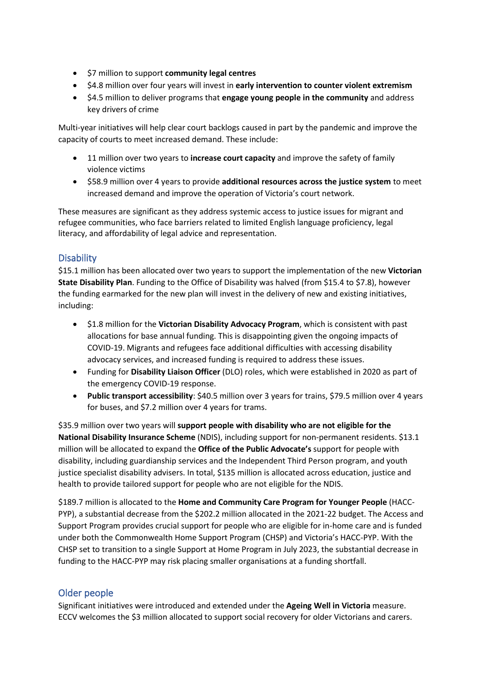- \$7 million to support **community legal centres**
- \$4.8 million over four years will invest in **early intervention to counter violent extremism**
- \$4.5 million to deliver programs that **engage young people in the community** and address key drivers of crime

Multi-year initiatives will help clear court backlogs caused in part by the pandemic and improve the capacity of courts to meet increased demand. These include:

- 11 million over two years to **increase court capacity** and improve the safety of family violence victims
- \$58.9 million over 4 years to provide **additional resources across the justice system** to meet increased demand and improve the operation of Victoria's court network.

These measures are significant as they address systemic access to justice issues for migrant and refugee communities, who face barriers related to limited English language proficiency, legal literacy, and affordability of legal advice and representation.

# **Disability**

\$15.1 million has been allocated over two years to support the implementation of the new **Victorian State Disability Plan**. Funding to the Office of Disability was halved (from \$15.4 to \$7.8), however the funding earmarked for the new plan will invest in the delivery of new and existing initiatives, including:

- \$1.8 million for the **Victorian Disability Advocacy Program**, which is consistent with past allocations for base annual funding. This is disappointing given the ongoing impacts of COVID-19. Migrants and refugees face additional difficulties with accessing disability advocacy services, and increased funding is required to address these issues.
- Funding for **Disability Liaison Officer** (DLO) roles, which were established in 2020 as part of the emergency COVID-19 response.
- **Public transport accessibility**: \$40.5 million over 3 years for trains, \$79.5 million over 4 years for buses, and \$7.2 million over 4 years for trams.

\$35.9 million over two years will **support people with disability who are not eligible for the National Disability Insurance Scheme** (NDIS), including support for non-permanent residents. \$13.1 million will be allocated to expand the **Office of the Public Advocate's** support for people with disability, including guardianship services and the Independent Third Person program, and youth justice specialist disability advisers. In total, \$135 million is allocated across education, justice and health to provide tailored support for people who are not eligible for the NDIS.

\$189.7 million is allocated to the **Home and Community Care Program for Younger People** (HACC-PYP), a substantial decrease from the \$202.2 million allocated in the 2021-22 budget. The Access and Support Program provides crucial support for people who are eligible for in-home care and is funded under both the Commonwealth Home Support Program (CHSP) and Victoria's HACC-PYP. With the CHSP set to transition to a single Support at Home Program in July 2023, the substantial decrease in funding to the HACC-PYP may risk placing smaller organisations at a funding shortfall.

# Older people

Significant initiatives were introduced and extended under the **Ageing Well in Victoria** measure. ECCV welcomes the \$3 million allocated to support social recovery for older Victorians and carers.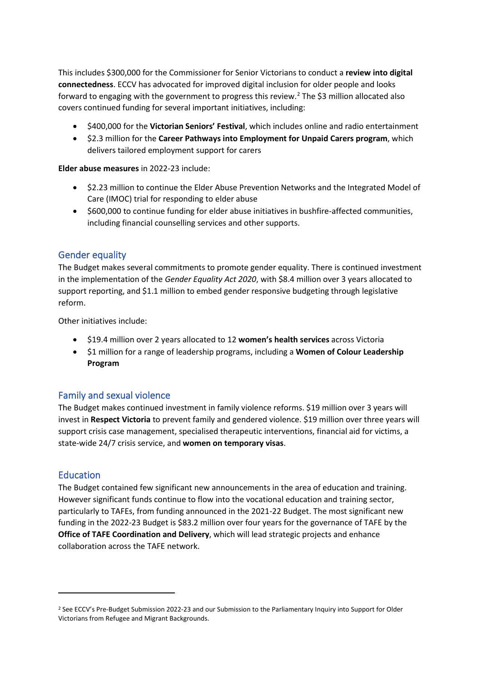This includes \$300,000 for the Commissioner for Senior Victorians to conduct a **review into digital connectedness**. ECCV has advocated for improved digital inclusion for older people and looks forward to engaging with the government to progress this review.<sup>[2](#page-6-0)</sup> The \$3 million allocated also covers continued funding for several important initiatives, including:

- \$400,000 for the **Victorian Seniors' Festival**, which includes online and radio entertainment
- \$2.3 million for the **Career Pathways into Employment for Unpaid Carers program**, which delivers tailored employment support for carers

**Elder abuse measures** in 2022-23 include:

- \$2.23 million to continue the Elder Abuse Prevention Networks and the Integrated Model of Care (IMOC) trial for responding to elder abuse
- \$600,000 to continue funding for elder abuse initiatives in bushfire-affected communities, including financial counselling services and other supports.

#### Gender equality

The Budget makes several commitments to promote gender equality. There is continued investment in the implementation of the *Gender Equality Act 2020*, with \$8.4 million over 3 years allocated to support reporting, and \$1.1 million to embed gender responsive budgeting through legislative reform.

Other initiatives include:

- \$19.4 million over 2 years allocated to 12 **women's health services** across Victoria
- \$1 million for a range of leadership programs, including a **Women of Colour Leadership Program**

#### Family and sexual violence

The Budget makes continued investment in family violence reforms. \$19 million over 3 years will invest in **Respect Victoria** to prevent family and gendered violence. \$19 million over three years will support crisis case management, specialised therapeutic interventions, financial aid for victims, a state-wide 24/7 crisis service, and **women on temporary visas**.

#### **Education**

The Budget contained few significant new announcements in the area of education and training. However significant funds continue to flow into the vocational education and training sector, particularly to TAFEs, from funding announced in the 2021-22 Budget. The most significant new funding in the 2022-23 Budget is \$83.2 million over four years for the governance of TAFE by the **Office of TAFE Coordination and Delivery**, which will lead strategic projects and enhance collaboration across the TAFE network.

<span id="page-6-0"></span><sup>&</sup>lt;sup>2</sup> See ECCV's Pre-Budget Submission 2022-23 and our Submission to the Parliamentary Inquiry into Support for Older Victorians from Refugee and Migrant Backgrounds.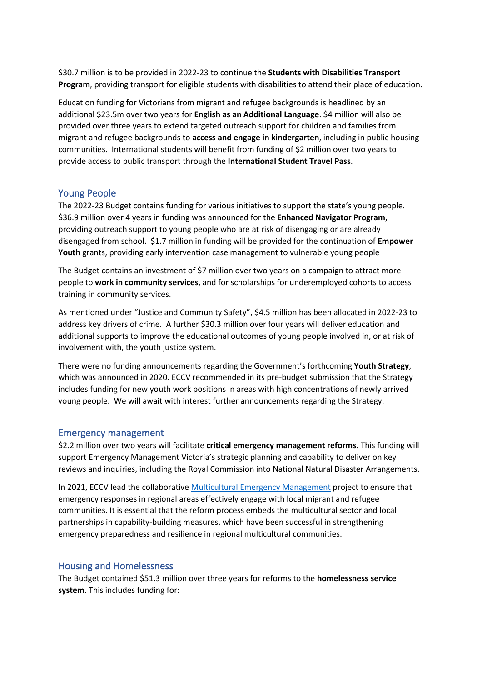\$30.7 million is to be provided in 2022-23 to continue the **Students with Disabilities Transport Program**, providing transport for eligible students with disabilities to attend their place of education.

Education funding for Victorians from migrant and refugee backgrounds is headlined by an additional \$23.5m over two years for **English as an Additional Language**. \$4 million will also be provided over three years to extend targeted outreach support for children and families from migrant and refugee backgrounds to **access and engage in kindergarten**, including in public housing communities. International students will benefit from funding of \$2 million over two years to provide access to public transport through the **International Student Travel Pass**.

#### Young People

The 2022-23 Budget contains funding for various initiatives to support the state's young people. \$36.9 million over 4 years in funding was announced for the **Enhanced Navigator Program**, providing outreach support to young people who are at risk of disengaging or are already disengaged from school. \$1.7 million in funding will be provided for the continuation of **Empower Youth** grants, providing early intervention case management to vulnerable young people

The Budget contains an investment of \$7 million over two years on a campaign to attract more people to **work in community services**, and for scholarships for underemployed cohorts to access training in community services.

As mentioned under "Justice and Community Safety", \$4.5 million has been allocated in 2022-23 to address key drivers of crime. A further \$30.3 million over four years will deliver education and additional supports to improve the educational outcomes of young people involved in, or at risk of involvement with, the youth justice system.

There were no funding announcements regarding the Government's forthcoming **Youth Strategy**, which was announced in 2020. ECCV recommended in its pre-budget submission that the Strategy includes funding for new youth work positions in areas with high concentrations of newly arrived young people. We will await with interest further announcements regarding the Strategy.

#### Emergency management

\$2.2 million over two years will facilitate **critical emergency management reforms**. This funding will support Emergency Management Victoria's strategic planning and capability to deliver on key reviews and inquiries, including the Royal Commission into National Natural Disaster Arrangements.

In 2021, ECCV lead the collaborative [Multicultural Emergency Management](https://eccv.org.au/eccv-leading-coordinated-regional-emergency-management-response/) project to ensure that emergency responses in regional areas effectively engage with local migrant and refugee communities. It is essential that the reform process embeds the multicultural sector and local partnerships in capability-building measures, which have been successful in strengthening emergency preparedness and resilience in regional multicultural communities.

#### Housing and Homelessness

The Budget contained \$51.3 million over three years for reforms to the **homelessness service system**. This includes funding for: